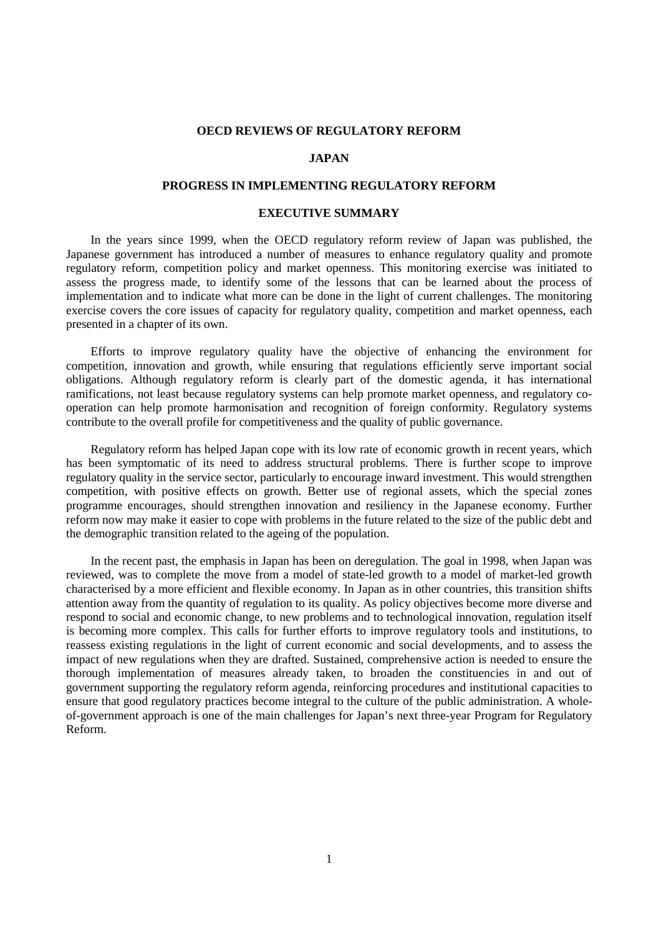## **OECD REVIEWS OF REGULATORY REFORM**

## **JAPAN**

## **PROGRESS IN IMPLEMENTING REGULATORY REFORM**

## **EXECUTIVE SUMMARY**

In the years since 1999, when the OECD regulatory reform review of Japan was published, the Japanese government has introduced a number of measures to enhance regulatory quality and promote regulatory reform, competition policy and market openness. This monitoring exercise was initiated to assess the progress made, to identify some of the lessons that can be learned about the process of implementation and to indicate what more can be done in the light of current challenges. The monitoring exercise covers the core issues of capacity for regulatory quality, competition and market openness, each presented in a chapter of its own.

Efforts to improve regulatory quality have the objective of enhancing the environment for competition, innovation and growth, while ensuring that regulations efficiently serve important social obligations. Although regulatory reform is clearly part of the domestic agenda, it has international ramifications, not least because regulatory systems can help promote market openness, and regulatory cooperation can help promote harmonisation and recognition of foreign conformity. Regulatory systems contribute to the overall profile for competitiveness and the quality of public governance.

Regulatory reform has helped Japan cope with its low rate of economic growth in recent years, which has been symptomatic of its need to address structural problems. There is further scope to improve regulatory quality in the service sector, particularly to encourage inward investment. This would strengthen competition, with positive effects on growth. Better use of regional assets, which the special zones programme encourages, should strengthen innovation and resiliency in the Japanese economy. Further reform now may make it easier to cope with problems in the future related to the size of the public debt and the demographic transition related to the ageing of the population.

In the recent past, the emphasis in Japan has been on deregulation. The goal in 1998, when Japan was reviewed, was to complete the move from a model of state-led growth to a model of market-led growth characterised by a more efficient and flexible economy. In Japan as in other countries, this transition shifts attention away from the quantity of regulation to its quality. As policy objectives become more diverse and respond to social and economic change, to new problems and to technological innovation, regulation itself is becoming more complex. This calls for further efforts to improve regulatory tools and institutions, to reassess existing regulations in the light of current economic and social developments, and to assess the impact of new regulations when they are drafted. Sustained, comprehensive action is needed to ensure the thorough implementation of measures already taken, to broaden the constituencies in and out of government supporting the regulatory reform agenda, reinforcing procedures and institutional capacities to ensure that good regulatory practices become integral to the culture of the public administration. A wholeof-government approach is one of the main challenges for Japan's next three-year Program for Regulatory Reform.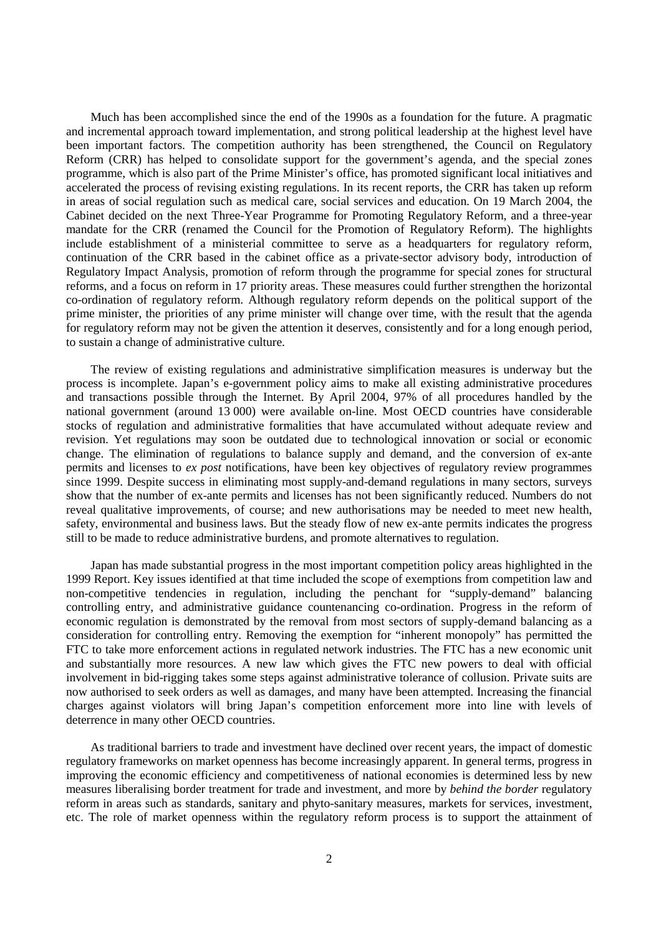Much has been accomplished since the end of the 1990s as a foundation for the future. A pragmatic and incremental approach toward implementation, and strong political leadership at the highest level have been important factors. The competition authority has been strengthened, the Council on Regulatory Reform (CRR) has helped to consolidate support for the government's agenda, and the special zones programme, which is also part of the Prime Minister's office, has promoted significant local initiatives and accelerated the process of revising existing regulations. In its recent reports, the CRR has taken up reform in areas of social regulation such as medical care, social services and education. On 19 March 2004, the Cabinet decided on the next Three-Year Programme for Promoting Regulatory Reform, and a three-year mandate for the CRR (renamed the Council for the Promotion of Regulatory Reform). The highlights include establishment of a ministerial committee to serve as a headquarters for regulatory reform, continuation of the CRR based in the cabinet office as a private-sector advisory body, introduction of Regulatory Impact Analysis, promotion of reform through the programme for special zones for structural reforms, and a focus on reform in 17 priority areas. These measures could further strengthen the horizontal co-ordination of regulatory reform. Although regulatory reform depends on the political support of the prime minister, the priorities of any prime minister will change over time, with the result that the agenda for regulatory reform may not be given the attention it deserves, consistently and for a long enough period, to sustain a change of administrative culture.

The review of existing regulations and administrative simplification measures is underway but the process is incomplete. Japan's e-government policy aims to make all existing administrative procedures and transactions possible through the Internet. By April 2004, 97% of all procedures handled by the national government (around 13 000) were available on-line. Most OECD countries have considerable stocks of regulation and administrative formalities that have accumulated without adequate review and revision. Yet regulations may soon be outdated due to technological innovation or social or economic change. The elimination of regulations to balance supply and demand, and the conversion of ex-ante permits and licenses to *ex post* notifications, have been key objectives of regulatory review programmes since 1999. Despite success in eliminating most supply-and-demand regulations in many sectors, surveys show that the number of ex-ante permits and licenses has not been significantly reduced. Numbers do not reveal qualitative improvements, of course; and new authorisations may be needed to meet new health, safety, environmental and business laws. But the steady flow of new ex-ante permits indicates the progress still to be made to reduce administrative burdens, and promote alternatives to regulation.

Japan has made substantial progress in the most important competition policy areas highlighted in the 1999 Report. Key issues identified at that time included the scope of exemptions from competition law and non-competitive tendencies in regulation, including the penchant for "supply-demand" balancing controlling entry, and administrative guidance countenancing co-ordination. Progress in the reform of economic regulation is demonstrated by the removal from most sectors of supply-demand balancing as a consideration for controlling entry. Removing the exemption for "inherent monopoly" has permitted the FTC to take more enforcement actions in regulated network industries. The FTC has a new economic unit and substantially more resources. A new law which gives the FTC new powers to deal with official involvement in bid-rigging takes some steps against administrative tolerance of collusion. Private suits are now authorised to seek orders as well as damages, and many have been attempted. Increasing the financial charges against violators will bring Japan's competition enforcement more into line with levels of deterrence in many other OECD countries.

As traditional barriers to trade and investment have declined over recent years, the impact of domestic regulatory frameworks on market openness has become increasingly apparent. In general terms, progress in improving the economic efficiency and competitiveness of national economies is determined less by new measures liberalising border treatment for trade and investment, and more by *behind the border* regulatory reform in areas such as standards, sanitary and phyto-sanitary measures, markets for services, investment, etc. The role of market openness within the regulatory reform process is to support the attainment of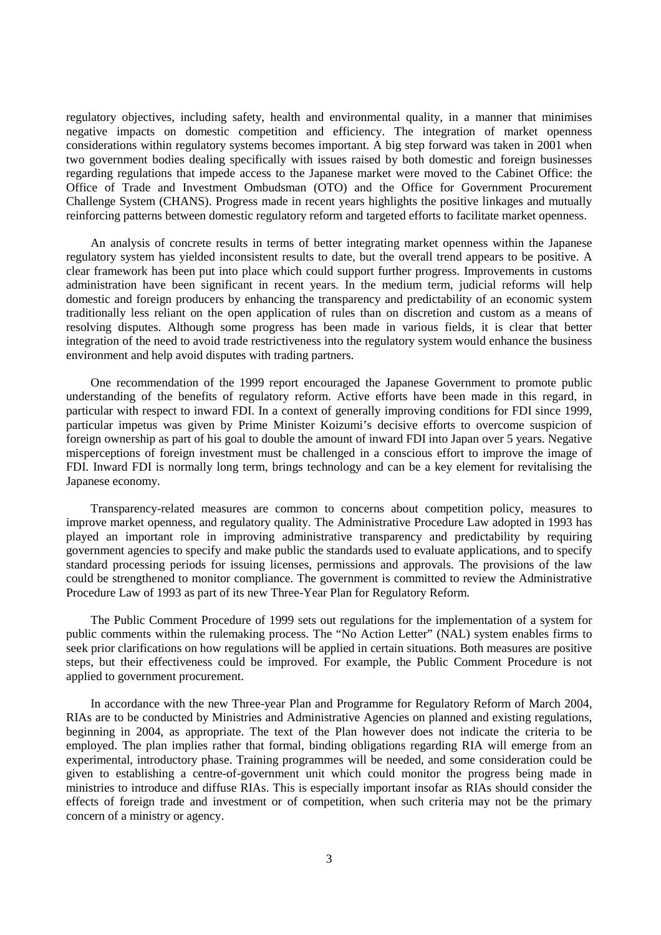regulatory objectives, including safety, health and environmental quality, in a manner that minimises negative impacts on domestic competition and efficiency. The integration of market openness considerations within regulatory systems becomes important. A big step forward was taken in 2001 when two government bodies dealing specifically with issues raised by both domestic and foreign businesses regarding regulations that impede access to the Japanese market were moved to the Cabinet Office: the Office of Trade and Investment Ombudsman (OTO) and the Office for Government Procurement Challenge System (CHANS). Progress made in recent years highlights the positive linkages and mutually reinforcing patterns between domestic regulatory reform and targeted efforts to facilitate market openness.

An analysis of concrete results in terms of better integrating market openness within the Japanese regulatory system has yielded inconsistent results to date, but the overall trend appears to be positive. A clear framework has been put into place which could support further progress. Improvements in customs administration have been significant in recent years. In the medium term, judicial reforms will help domestic and foreign producers by enhancing the transparency and predictability of an economic system traditionally less reliant on the open application of rules than on discretion and custom as a means of resolving disputes. Although some progress has been made in various fields, it is clear that better integration of the need to avoid trade restrictiveness into the regulatory system would enhance the business environment and help avoid disputes with trading partners.

One recommendation of the 1999 report encouraged the Japanese Government to promote public understanding of the benefits of regulatory reform. Active efforts have been made in this regard, in particular with respect to inward FDI. In a context of generally improving conditions for FDI since 1999, particular impetus was given by Prime Minister Koizumi's decisive efforts to overcome suspicion of foreign ownership as part of his goal to double the amount of inward FDI into Japan over 5 years. Negative misperceptions of foreign investment must be challenged in a conscious effort to improve the image of FDI. Inward FDI is normally long term, brings technology and can be a key element for revitalising the Japanese economy.

Transparency-related measures are common to concerns about competition policy, measures to improve market openness, and regulatory quality. The Administrative Procedure Law adopted in 1993 has played an important role in improving administrative transparency and predictability by requiring government agencies to specify and make public the standards used to evaluate applications, and to specify standard processing periods for issuing licenses, permissions and approvals. The provisions of the law could be strengthened to monitor compliance. The government is committed to review the Administrative Procedure Law of 1993 as part of its new Three-Year Plan for Regulatory Reform.

The Public Comment Procedure of 1999 sets out regulations for the implementation of a system for public comments within the rulemaking process. The "No Action Letter" (NAL) system enables firms to seek prior clarifications on how regulations will be applied in certain situations. Both measures are positive steps, but their effectiveness could be improved. For example, the Public Comment Procedure is not applied to government procurement.

In accordance with the new Three-year Plan and Programme for Regulatory Reform of March 2004, RIAs are to be conducted by Ministries and Administrative Agencies on planned and existing regulations, beginning in 2004, as appropriate. The text of the Plan however does not indicate the criteria to be employed. The plan implies rather that formal, binding obligations regarding RIA will emerge from an experimental, introductory phase. Training programmes will be needed, and some consideration could be given to establishing a centre-of-government unit which could monitor the progress being made in ministries to introduce and diffuse RIAs. This is especially important insofar as RIAs should consider the effects of foreign trade and investment or of competition, when such criteria may not be the primary concern of a ministry or agency.